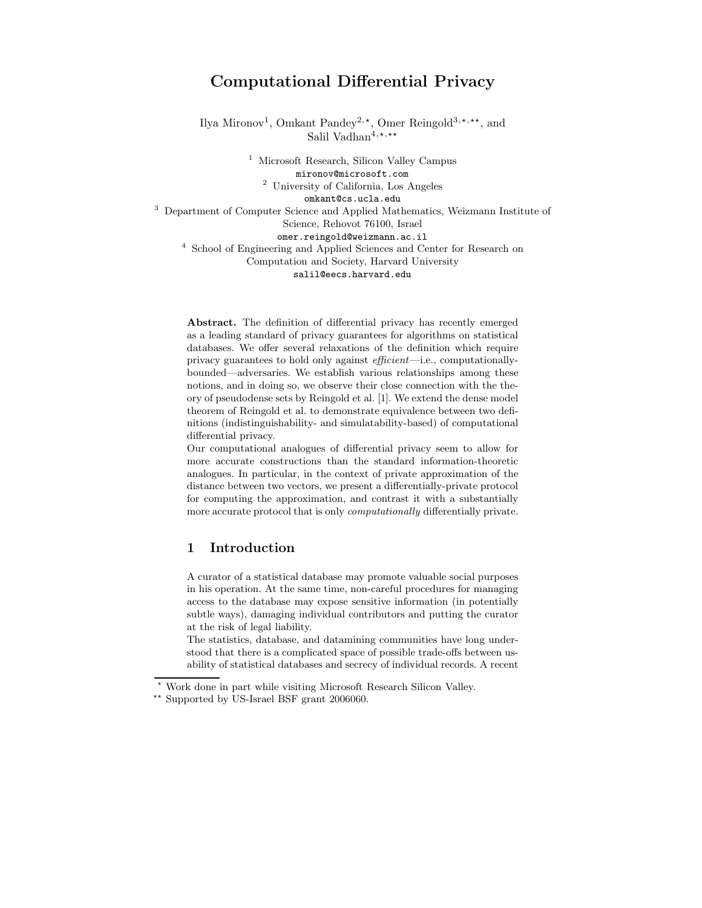# Computational Differential Privacy

Ilya Mironov<sup>1</sup>, Omkant Pandey<sup>2,\*</sup>, Omer Reingold<sup>3,\*,\*\*</sup>, and Salil Vadhan<sup>4,\*,\*\*</sup>

> <sup>1</sup> Microsoft Research, Silicon Valley Campus mironov@microsoft.com <sup>2</sup> University of California, Los Angeles

omkant@cs.ucla.edu

<sup>3</sup> Department of Computer Science and Applied Mathematics, Weizmann Institute of Science, Rehovot 76100, Israel omer.reingold@weizmann.ac.il <sup>4</sup> School of Engineering and Applied Sciences and Center for Research on

Computation and Society, Harvard University salil@eecs.harvard.edu

Abstract. The definition of differential privacy has recently emerged as a leading standard of privacy guarantees for algorithms on statistical databases. We offer several relaxations of the definition which require privacy guarantees to hold only against efficient—i.e., computationallybounded—adversaries. We establish various relationships among these notions, and in doing so, we observe their close connection with the theory of pseudodense sets by Reingold et al. [1]. We extend the dense model theorem of Reingold et al. to demonstrate equivalence between two definitions (indistinguishability- and simulatability-based) of computational differential privacy.

Our computational analogues of differential privacy seem to allow for more accurate constructions than the standard information-theoretic analogues. In particular, in the context of private approximation of the distance between two vectors, we present a differentially-private protocol for computing the approximation, and contrast it with a substantially more accurate protocol that is only *computationally* differentially private.

# 1 Introduction

A curator of a statistical database may promote valuable social purposes in his operation. At the same time, non-careful procedures for managing access to the database may expose sensitive information (in potentially subtle ways), damaging individual contributors and putting the curator at the risk of legal liability.

The statistics, database, and datamining communities have long understood that there is a complicated space of possible trade-offs between usability of statistical databases and secrecy of individual records. A recent

Work done in part while visiting Microsoft Research Silicon Valley.

<sup>⋆⋆</sup> Supported by US-Israel BSF grant 2006060.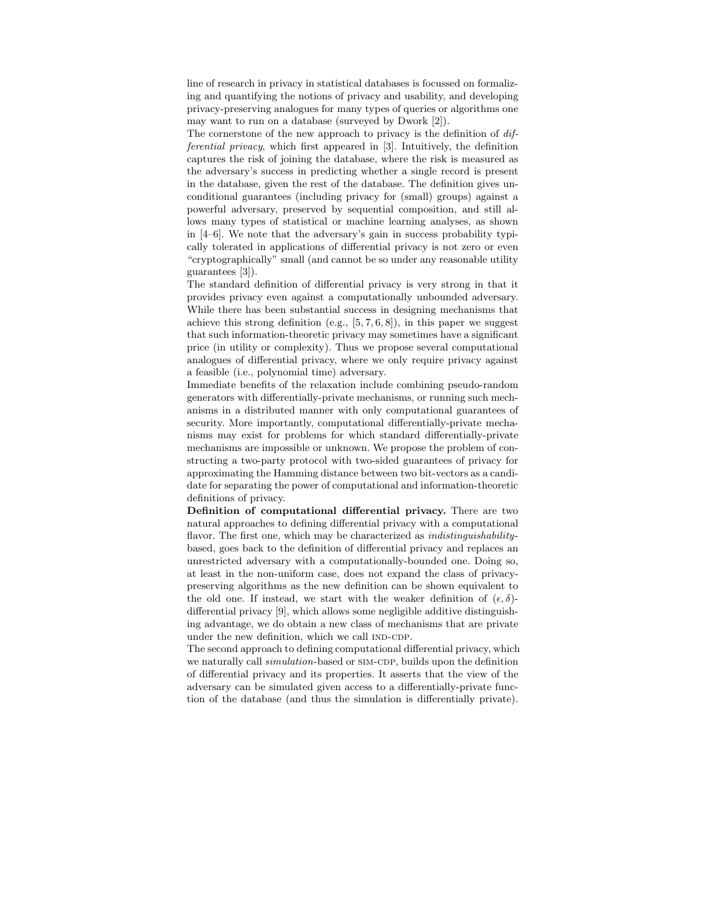line of research in privacy in statistical databases is focussed on formalizing and quantifying the notions of privacy and usability, and developing privacy-preserving analogues for many types of queries or algorithms one may want to run on a database (surveyed by Dwork [2]).

The cornerstone of the new approach to privacy is the definition of differential privacy, which first appeared in [3]. Intuitively, the definition captures the risk of joining the database, where the risk is measured as the adversary's success in predicting whether a single record is present in the database, given the rest of the database. The definition gives unconditional guarantees (including privacy for (small) groups) against a powerful adversary, preserved by sequential composition, and still allows many types of statistical or machine learning analyses, as shown in [4–6]. We note that the adversary's gain in success probability typically tolerated in applications of differential privacy is not zero or even "cryptographically" small (and cannot be so under any reasonable utility guarantees [3]).

The standard definition of differential privacy is very strong in that it provides privacy even against a computationally unbounded adversary. While there has been substantial success in designing mechanisms that achieve this strong definition (e.g.,  $[5, 7, 6, 8]$ ), in this paper we suggest that such information-theoretic privacy may sometimes have a significant price (in utility or complexity). Thus we propose several computational analogues of differential privacy, where we only require privacy against a feasible (i.e., polynomial time) adversary.

Immediate benefits of the relaxation include combining pseudo-random generators with differentially-private mechanisms, or running such mechanisms in a distributed manner with only computational guarantees of security. More importantly, computational differentially-private mechanisms may exist for problems for which standard differentially-private mechanisms are impossible or unknown. We propose the problem of constructing a two-party protocol with two-sided guarantees of privacy for approximating the Hamming distance between two bit-vectors as a candidate for separating the power of computational and information-theoretic definitions of privacy.

Definition of computational differential privacy. There are two natural approaches to defining differential privacy with a computational flavor. The first one, which may be characterized as *indistinguishability*based, goes back to the definition of differential privacy and replaces an unrestricted adversary with a computationally-bounded one. Doing so, at least in the non-uniform case, does not expand the class of privacypreserving algorithms as the new definition can be shown equivalent to the old one. If instead, we start with the weaker definition of  $(\epsilon, \delta)$ differential privacy [9], which allows some negligible additive distinguishing advantage, we do obtain a new class of mechanisms that are private under the new definition, which we call IND-CDP.

The second approach to defining computational differential privacy, which we naturally call *simulation*-based or SIM-CDP, builds upon the definition of differential privacy and its properties. It asserts that the view of the adversary can be simulated given access to a differentially-private function of the database (and thus the simulation is differentially private).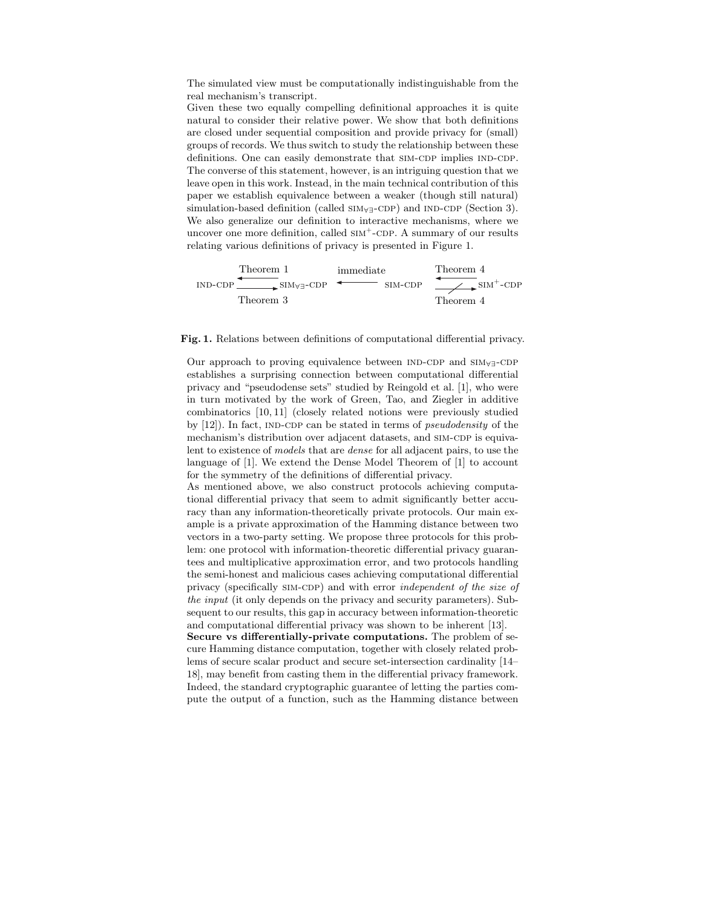The simulated view must be computationally indistinguishable from the real mechanism's transcript.

Given these two equally compelling definitional approaches it is quite natural to consider their relative power. We show that both definitions are closed under sequential composition and provide privacy for (small) groups of records. We thus switch to study the relationship between these definitions. One can easily demonstrate that SIM-CDP implies IND-CDP. The converse of this statement, however, is an intriguing question that we leave open in this work. Instead, in the main technical contribution of this paper we establish equivalence between a weaker (though still natural) simulation-based definition (called  $\text{SIM}_{\forall\exists}$ -CDP) and IND-CDP (Section 3). We also generalize our definition to interactive mechanisms, where we uncover one more definition, called  $\text{SIM}^+$ -CDP. A summary of our results relating various definitions of privacy is presented in Figure 1.



#### Fig. 1. Relations between definitions of computational differential privacy.

Our approach to proving equivalence between  $IND-CDP$  and  $SIM<sub>∀</sub>–CDP$ establishes a surprising connection between computational differential privacy and "pseudodense sets" studied by Reingold et al. [1], who were in turn motivated by the work of Green, Tao, and Ziegler in additive combinatorics [10, 11] (closely related notions were previously studied by  $[12]$ ). In fact, IND-CDP can be stated in terms of *pseudodensity* of the mechanism's distribution over adjacent datasets, and SIM-CDP is equivalent to existence of models that are dense for all adjacent pairs, to use the language of [1]. We extend the Dense Model Theorem of [1] to account for the symmetry of the definitions of differential privacy.

As mentioned above, we also construct protocols achieving computational differential privacy that seem to admit significantly better accuracy than any information-theoretically private protocols. Our main example is a private approximation of the Hamming distance between two vectors in a two-party setting. We propose three protocols for this problem: one protocol with information-theoretic differential privacy guarantees and multiplicative approximation error, and two protocols handling the semi-honest and malicious cases achieving computational differential privacy (specifically SIM-CDP) and with error *independent of the size of* the input (it only depends on the privacy and security parameters). Subsequent to our results, this gap in accuracy between information-theoretic and computational differential privacy was shown to be inherent [13].

Secure vs differentially-private computations. The problem of secure Hamming distance computation, together with closely related problems of secure scalar product and secure set-intersection cardinality [14– 18], may benefit from casting them in the differential privacy framework. Indeed, the standard cryptographic guarantee of letting the parties compute the output of a function, such as the Hamming distance between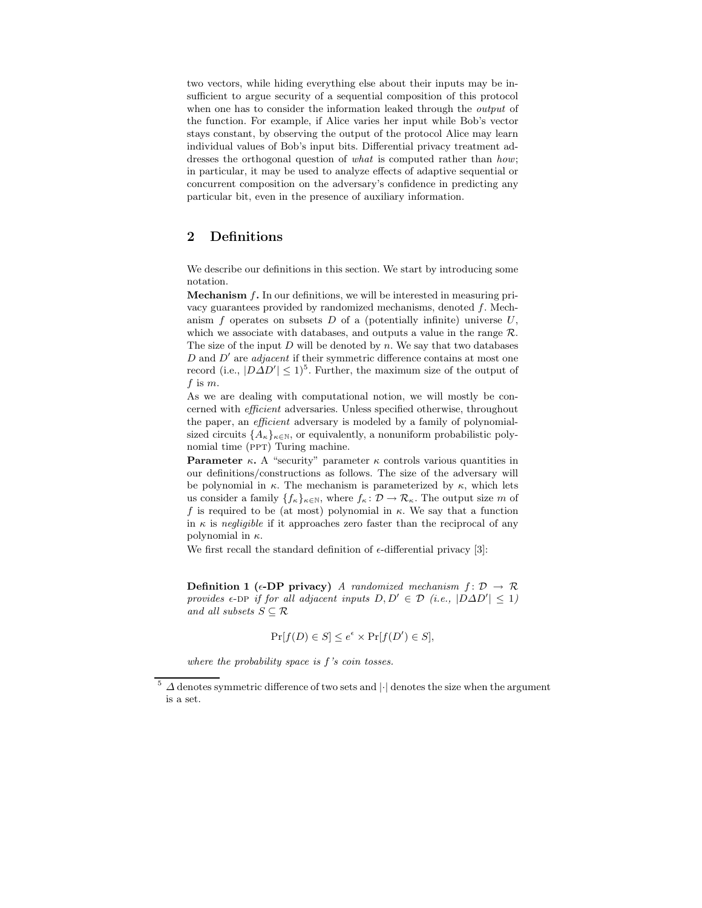two vectors, while hiding everything else about their inputs may be insufficient to argue security of a sequential composition of this protocol when one has to consider the information leaked through the *output* of the function. For example, if Alice varies her input while Bob's vector stays constant, by observing the output of the protocol Alice may learn individual values of Bob's input bits. Differential privacy treatment addresses the orthogonal question of what is computed rather than how; in particular, it may be used to analyze effects of adaptive sequential or concurrent composition on the adversary's confidence in predicting any particular bit, even in the presence of auxiliary information.

## 2 Definitions

We describe our definitions in this section. We start by introducing some notation.

**Mechanism**  $f$ **.** In our definitions, we will be interested in measuring privacy guarantees provided by randomized mechanisms, denoted f. Mechanism  $f$  operates on subsets  $D$  of a (potentially infinite) universe  $U$ , which we associate with databases, and outputs a value in the range  $\mathcal{R}$ . The size of the input  $D$  will be denoted by  $n$ . We say that two databases  $D$  and  $D'$  are *adjacent* if their symmetric difference contains at most one record (i.e.,  $|D\Delta D'| \leq 1$ )<sup>5</sup>. Further, the maximum size of the output of  $f$  is  $m$ .

As we are dealing with computational notion, we will mostly be concerned with efficient adversaries. Unless specified otherwise, throughout the paper, an *efficient* adversary is modeled by a family of polynomialsized circuits  $\{A_{\kappa}\}_{{\kappa}\in\mathbb{N}}$ , or equivalently, a nonuniform probabilistic polynomial time (PPT) Turing machine.

**Parameter κ.** A "security" parameter  $\kappa$  controls various quantities in our definitions/constructions as follows. The size of the adversary will be polynomial in  $\kappa$ . The mechanism is parameterized by  $\kappa$ , which lets us consider a family  $\{f_{\kappa}\}_{{\kappa}\in\mathbb{N}},$  where  $f_{\kappa}: \mathcal{D} \to \mathcal{R}_{\kappa}$ . The output size m of f is required to be (at most) polynomial in  $\kappa$ . We say that a function in  $\kappa$  is negligible if it approaches zero faster than the reciprocal of any polynomial in  $\kappa$ .

We first recall the standard definition of  $\epsilon$ -differential privacy [3]:

Definition 1 ( $\epsilon$ -DP privacy) A randomized mechanism  $f: \mathcal{D} \to \mathcal{R}$ provides  $\epsilon$ -DP if for all adjacent inputs  $D, D' \in \mathcal{D}$  (i.e.,  $|D\Delta D'| \leq 1$ ) and all subsets  $S \subseteq \mathcal{R}$ 

$$
\Pr[f(D) \in S] \le e^{\epsilon} \times \Pr[f(D') \in S],
$$

where the probability space is  $f$ 's coin tosses.

 $\Delta$  denotes symmetric difference of two sets and  $|\cdot|$  denotes the size when the argument is a set.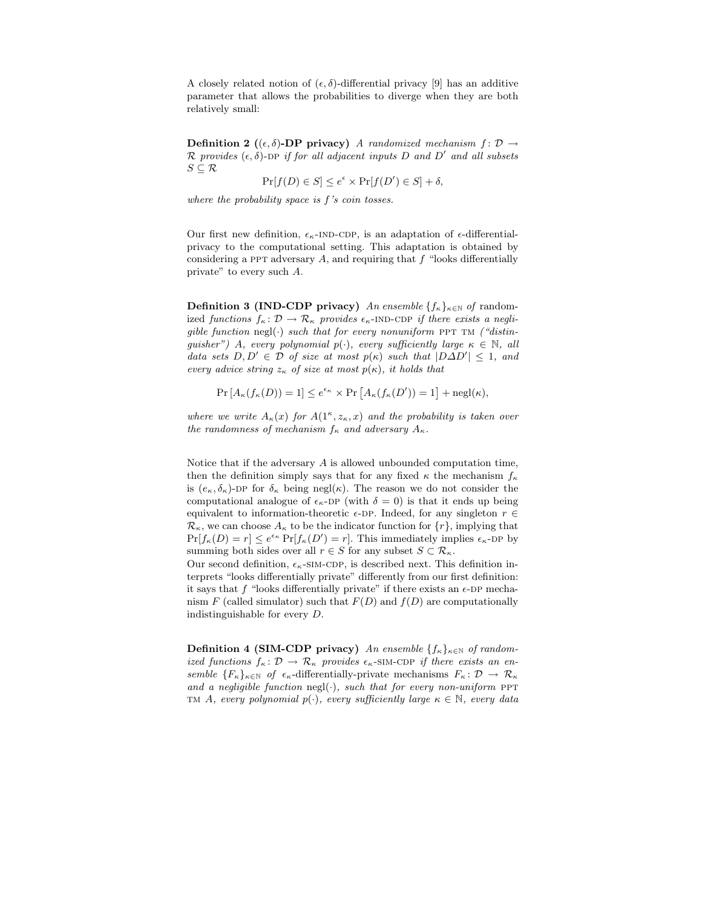A closely related notion of  $(\epsilon, \delta)$ -differential privacy [9] has an additive parameter that allows the probabilities to diverge when they are both relatively small:

**Definition 2** ( $(\epsilon, \delta)$ -**DP** privacy) A randomized mechanism  $f : \mathcal{D} \to$  $\mathcal R$  provides  $(\epsilon, \delta)$ -DP if for all adjacent inputs D and D' and all subsets  $S \subseteq \mathcal{R}$ 

 $\Pr[f(D) \in S] \leq e^{\epsilon} \times \Pr[f(D') \in S] + \delta,$ 

where the probability space is f's coin tosses.

Our first new definition,  $\epsilon_{\kappa}$ -IND-CDP, is an adaptation of  $\epsilon$ -differentialprivacy to the computational setting. This adaptation is obtained by considering a PPT adversary  $A$ , and requiring that  $f$  "looks differentially private" to every such A.

**Definition 3 (IND-CDP privacy)** An ensemble  $\{f_{\kappa}\}_{{\kappa}\in\mathbb{N}}$  of randomized functions  $f_{\kappa} : \mathcal{D} \to \mathcal{R}_{\kappa}$  provides  $\epsilon_{\kappa}$ -IND-CDP if there exists a negligible function negl(.) such that for every nonuniform PPT TM ("distinguisher") A, every polynomial  $p(\cdot)$ , every sufficiently large  $\kappa \in \mathbb{N}$ , all data sets  $D, D' \in \mathcal{D}$  of size at most  $p(\kappa)$  such that  $|D\Delta D'| \leq 1$ , and every advice string  $z_{\kappa}$  of size at most  $p(\kappa)$ , it holds that

 $\Pr\left[A_{\kappa}(f_{\kappa}(D))=1\right]\leq e^{\epsilon_{\kappa}}\times\Pr\left[A_{\kappa}(f_{\kappa}(D'))=1\right]+\operatorname{negl}(\kappa),$ 

where we write  $A_{\kappa}(x)$  for  $A(1^{\kappa}, z_{\kappa}, x)$  and the probability is taken over the randomness of mechanism  $f_{\kappa}$  and adversary  $A_{\kappa}$ .

Notice that if the adversary  $A$  is allowed unbounded computation time, then the definition simply says that for any fixed  $\kappa$  the mechanism  $f_{\kappa}$ is  $(e_{\kappa}, \delta_{\kappa})$ -DP for  $\delta_{\kappa}$  being negl( $\kappa$ ). The reason we do not consider the computational analogue of  $\epsilon_{\kappa}$ -DP (with  $\delta = 0$ ) is that it ends up being equivalent to information-theoretic  $\epsilon$ -DP. Indeed, for any singleton  $r \in$  $\mathcal{R}_{\kappa}$ , we can choose  $A_{\kappa}$  to be the indicator function for  $\{r\}$ , implying that  $Pr[f_{\kappa}(D) = r] \leq e^{\epsilon_{\kappa}} Pr[f_{\kappa}(D') = r]$ . This immediately implies  $\epsilon_{\kappa}$ -DP by summing both sides over all  $r \in S$  for any subset  $S \subset \mathcal{R}_{\kappa}$ .

Our second definition,  $\epsilon_{\kappa}$ -sim-cdp, is described next. This definition interprets "looks differentially private" differently from our first definition: it says that f "looks differentially private" if there exists an  $\epsilon$ -DP mechanism F (called simulator) such that  $F(D)$  and  $f(D)$  are computationally indistinguishable for every D.

Definition 4 (SIM-CDP privacy) An ensemble  $\{f_{\kappa}\}_{{\kappa}\in\mathbb{N}}$  of randomized functions  $f_{\kappa} : \mathcal{D} \to \mathcal{R}_{\kappa}$  provides  $\epsilon_{\kappa}$ -SIM-CDP if there exists an ensemble  ${F_{\kappa}}_{\kappa\in\mathbb{N}}$  of  $\epsilon_{\kappa}$ -differentially-private mechanisms  $F_{\kappa} : \mathcal{D} \to \mathcal{R}_{\kappa}$ and a negligible function negl( $\cdot$ ), such that for every non-uniform PPT TM A, every polynomial  $p(\cdot)$ , every sufficiently large  $\kappa \in \mathbb{N}$ , every data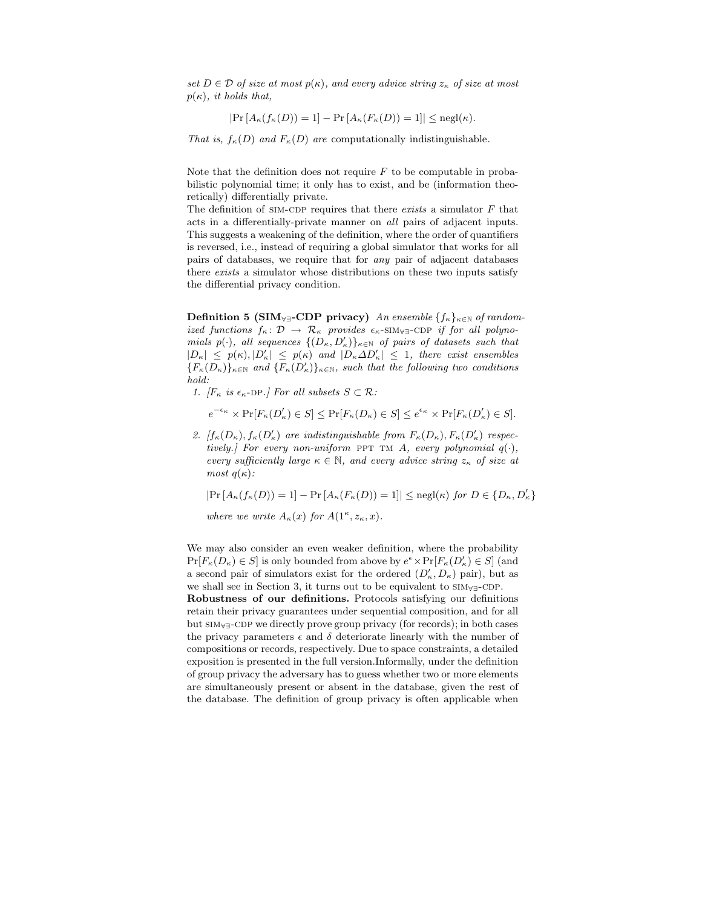set  $D \in \mathcal{D}$  of size at most  $p(\kappa)$ , and every advice string  $z_{\kappa}$  of size at most  $p(\kappa)$ , it holds that,

$$
|\Pr\left[A_{\kappa}(f_{\kappa}(D))=1\right]-\Pr\left[A_{\kappa}(F_{\kappa}(D))=1\right]|\leq \mathrm{negl}(\kappa).
$$

That is,  $f_{\kappa}(D)$  and  $F_{\kappa}(D)$  are computationally indistinguishable.

Note that the definition does not require  $F$  to be computable in probabilistic polynomial time; it only has to exist, and be (information theoretically) differentially private.

The definition of  $SIM-CDP$  requires that there *exists* a simulator  $F$  that acts in a differentially-private manner on all pairs of adjacent inputs. This suggests a weakening of the definition, where the order of quantifiers is reversed, i.e., instead of requiring a global simulator that works for all pairs of databases, we require that for any pair of adjacent databases there exists a simulator whose distributions on these two inputs satisfy the differential privacy condition.

Definition 5 (SIM<sub>∀∃</sub>-CDP privacy) An ensemble  $\{f_{\kappa}\}_{{\kappa}\in\mathbb{N}}$  of randomized functions  $f_{\kappa} : \mathcal{D} \to \mathcal{R}_{\kappa}$  provides  $\epsilon_{\kappa}$ -SIM<sub>∀∃</sub>-CDP if for all polynomials  $p(\cdot)$ , all sequences  $\{(D_{\kappa}, D'_{\kappa})\}_{\kappa \in \mathbb{N}}$  of pairs of datasets such that  $|D_{\kappa}| \leq p(\kappa), |D_{\kappa}'| \leq p(\kappa)$  and  $|D_{\kappa}\Delta D_{\kappa}'| \leq 1$ , there exist ensembles  ${F_{\kappa}(D_{\kappa})}_{\kappa \in \mathbb{N}}$  and  ${F_{\kappa}(D_{\kappa}')}_{\kappa \in \mathbb{N}}$ , such that the following two conditions hold:

1.  $[F_{\kappa} \text{ is } \epsilon_{\kappa}$ -DP.] For all subsets  $S \subset \mathcal{R}$ :

$$
e^{-\epsilon_{\kappa}} \times \Pr[F_{\kappa}(D_{\kappa}') \in S] \le \Pr[F_{\kappa}(D_{\kappa}) \in S] \le e^{\epsilon_{\kappa}} \times \Pr[F_{\kappa}(D_{\kappa}') \in S].
$$

2.  $[f_{\kappa}(D_{\kappa}), f_{\kappa}(D_{\kappa}')$  are indistinguishable from  $F_{\kappa}(D_{\kappa}), F_{\kappa}(D_{\kappa}')$  respectively.] For every non-uniform PPT TM A, every polynomial  $q(\cdot)$ , every sufficiently large  $\kappa \in \mathbb{N}$ , and every advice string  $z_{\kappa}$  of size at most  $q(\kappa)$ :

 $|\Pr[A_{\kappa}(f_{\kappa}(D)) = 1] - \Pr[A_{\kappa}(F_{\kappa}(D)) = 1]| \leq \operatorname{negl}(\kappa) \text{ for } D \in \{D_{\kappa}, D_{\kappa}'\}$ 

where we write  $A_{\kappa}(x)$  for  $A(1^{\kappa}, z_{\kappa}, x)$ .

We may also consider an even weaker definition, where the probability  $\Pr[F_{\kappa}(D_{\kappa}) \in S]$  is only bounded from above by  $e^{\epsilon} \times \Pr[F_{\kappa}(D_{\kappa}') \in S]$  (and a second pair of simulators exist for the ordered  $(D'_\kappa, D_\kappa)$  pair), but as we shall see in Section 3, it turns out to be equivalent to SIM<sub>∀∃</sub>-CDP.

Robustness of our definitions. Protocols satisfying our definitions retain their privacy guarantees under sequential composition, and for all but SIM<sub>∀∃</sub>-CDP we directly prove group privacy (for records); in both cases the privacy parameters  $\epsilon$  and  $\delta$  deteriorate linearly with the number of compositions or records, respectively. Due to space constraints, a detailed exposition is presented in the full version.Informally, under the definition of group privacy the adversary has to guess whether two or more elements are simultaneously present or absent in the database, given the rest of the database. The definition of group privacy is often applicable when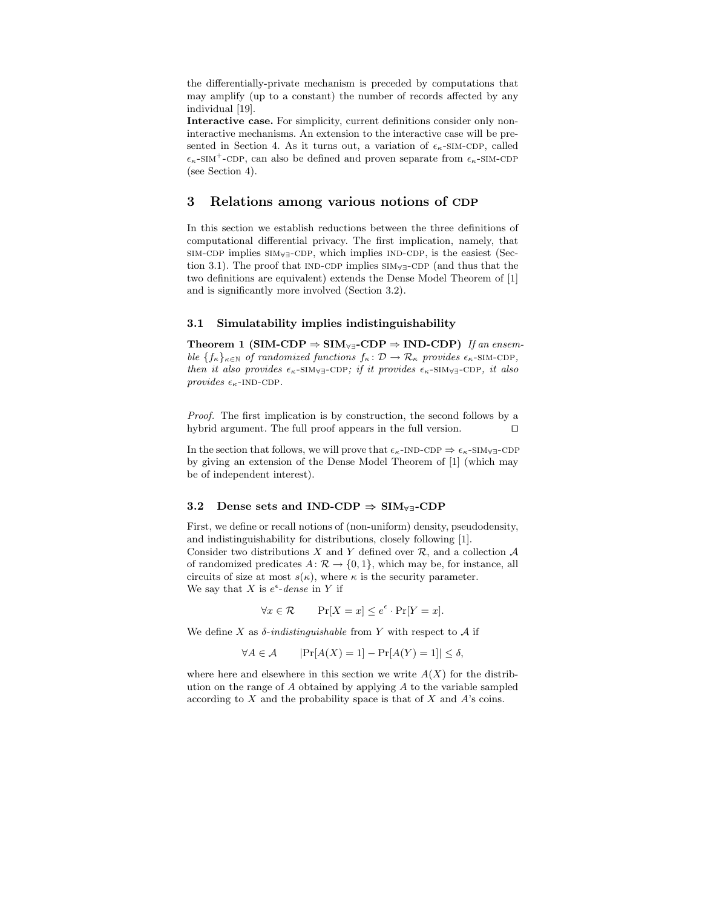the differentially-private mechanism is preceded by computations that may amplify (up to a constant) the number of records affected by any individual [19].

Interactive case. For simplicity, current definitions consider only noninteractive mechanisms. An extension to the interactive case will be presented in Section 4. As it turns out, a variation of  $\epsilon_{\kappa}$ -SIM-CDP, called  $\epsilon_{\kappa}$ -SIM<sup>+</sup>-CDP, can also be defined and proven separate from  $\epsilon_{\kappa}$ -SIM-CDP (see Section 4).

### 3 Relations among various notions of CDP

In this section we establish reductions between the three definitions of computational differential privacy. The first implication, namely, that sim-cdp implies sim<sub>∀∃</sub>-cdp, which implies ind-cdp, is the easiest (Section 3.1). The proof that ind-cdp implies sim<sub>∀∃</sub>-cdp (and thus that the two definitions are equivalent) extends the Dense Model Theorem of [1] and is significantly more involved (Section 3.2).

#### 3.1 Simulatability implies indistinguishability

Theorem 1 (SIM-CDP  $\Rightarrow$  SIM<sub>∀∃</sub>-CDP  $\Rightarrow$  IND-CDP) If an ensemble  ${f_k}_{k \in \mathbb{N}}$  of randomized functions  $f_k : \mathcal{D} \to \mathcal{R}_\kappa$  provides  $\epsilon_{\kappa}$ -SIM-CDP, then it also provides  $\epsilon_{\kappa}$ -SIM<sub>∀∃</sub>-CDP; if it provides  $\epsilon_{\kappa}$ -SIM<sub>∀∃</sub>-CDP, it also provides  $\epsilon_{\kappa}$ -IND-CDP.

Proof. The first implication is by construction, the second follows by a hybrid argument. The full proof appears in the full version. ⊓⊔

In the section that follows, we will prove that  $\epsilon_{\kappa}$ -IND-CDP  $\Rightarrow \epsilon_{\kappa}$ -SIM $\forall \exists$ -CDP by giving an extension of the Dense Model Theorem of [1] (which may be of independent interest).

#### 3.2 Dense sets and IND-CDP  $\Rightarrow$  SIM<sub>∀∃</sub>-CDP

First, we define or recall notions of (non-uniform) density, pseudodensity, and indistinguishability for distributions, closely following [1]. Consider two distributions  $X$  and  $Y$  defined over  $\mathcal{R}$ , and a collection  $\mathcal A$ of randomized predicates  $A: \mathcal{R} \to \{0, 1\}$ , which may be, for instance, all circuits of size at most  $s(\kappa)$ , where  $\kappa$  is the security parameter.

We say that X is  $e^{\epsilon}$ -dense in Y if

$$
\forall x \in \mathcal{R} \qquad \Pr[X = x] \le e^{\epsilon} \cdot \Pr[Y = x].
$$

We define X as  $\delta$ -indistinguishable from Y with respect to A if

$$
\forall A \in \mathcal{A} \qquad |\Pr[A(X) = 1] - \Pr[A(Y) = 1]| \le \delta,
$$

where here and elsewhere in this section we write  $A(X)$  for the distribution on the range of  $A$  obtained by applying  $A$  to the variable sampled according to  $X$  and the probability space is that of  $X$  and  $A$ 's coins.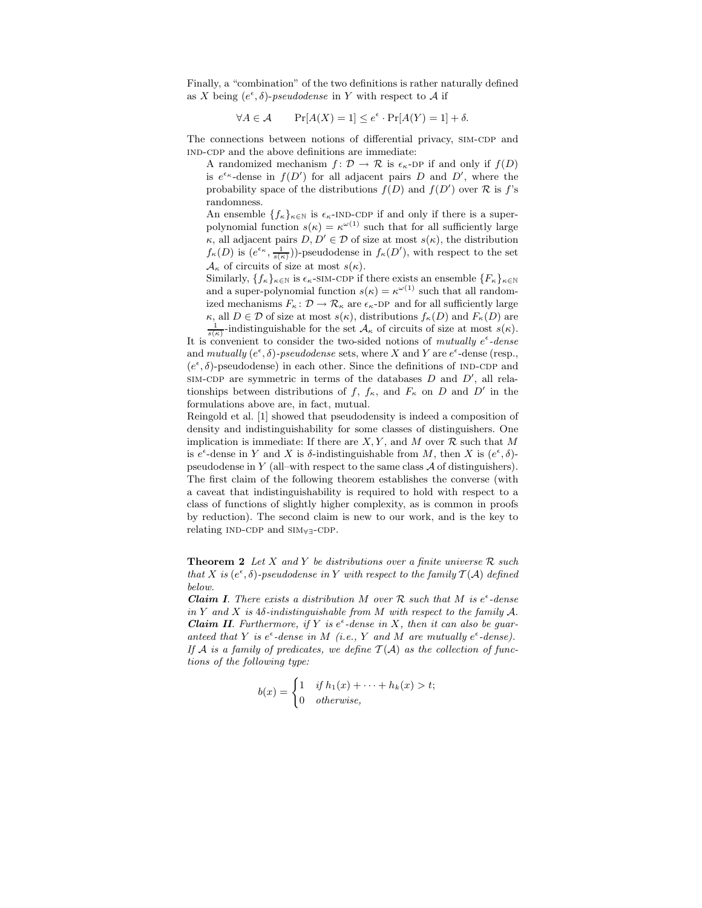Finally, a "combination" of the two definitions is rather naturally defined as X being  $(e^{\epsilon}, \delta)$ -pseudodense in Y with respect to A if

$$
\forall A \in \mathcal{A} \qquad \Pr[A(X) = 1] \le e^{\epsilon} \cdot \Pr[A(Y) = 1] + \delta.
$$

The connections between notions of differential privacy, SIM-CDP and IND-CDP and the above definitions are immediate:

A randomized mechanism  $f: \mathcal{D} \to \mathcal{R}$  is  $\epsilon_{\kappa}$ -DP if and only if  $f(D)$ is  $e^{\epsilon_{\kappa}}$ -dense in  $f(D')$  for all adjacent pairs D and D', where the probability space of the distributions  $f(D)$  and  $f(D')$  over  $\mathcal R$  is  $f$ 's randomness.

An ensemble  $\{f_{\kappa}\}_{{\kappa}\in\mathbb{N}}$  is  $\epsilon_{\kappa}$ -IND-CDP if and only if there is a superpolynomial function  $s(\kappa) = \kappa^{\omega(1)}$  such that for all sufficiently large  $\kappa$ , all adjacent pairs  $D, D' \in \mathcal{D}$  of size at most  $s(\kappa)$ , the distribution  $f_{\kappa}(D)$  is  $(e^{\epsilon_{\kappa}}, \frac{1}{s(\kappa)})$ -pseudodense in  $f_{\kappa}(D')$ , with respect to the set  $\mathcal{A}_{\kappa}$  of circuits of size at most  $s(\kappa)$ .

Similarly,  $\{f_{\kappa}\}_{{\kappa}\in\mathbb{N}}$  is  $\epsilon_{\kappa}$ -SIM-CDP if there exists an ensemble  $\{F_{\kappa}\}_{{\kappa}\in\mathbb{N}}$ and a super-polynomial function  $s(\kappa) = \kappa^{\omega(1)}$  such that all randomized mechanisms  $F_{\kappa}: \mathcal{D} \to \mathcal{R}_{\kappa}$  are  $\epsilon_{\kappa}$ -DP and for all sufficiently large  $\kappa$ , all  $D \in \mathcal{D}$  of size at most  $s(\kappa)$ , distributions  $f_{\kappa}(D)$  and  $F_{\kappa}(D)$  are

 $\frac{1}{s(\kappa)}$ -indistinguishable for the set  $\mathcal{A}_{\kappa}$  of circuits of size at most  $s(\kappa)$ . It is convenient to consider the two-sided notions of mutually  $e^{\epsilon}$ -dense and mutually  $(e^{\epsilon}, \delta)$ -pseudodense sets, where X and Y are  $e^{\epsilon}$ -dense (resp.,  $(e^{\epsilon}, \delta)$ -pseudodense) in each other. Since the definitions of IND-CDP and SIM-CDP are symmetric in terms of the databases  $D$  and  $D'$ , all relationships between distributions of  $f, f_{\kappa}$ , and  $F_{\kappa}$  on D and D' in the formulations above are, in fact, mutual.

Reingold et al. [1] showed that pseudodensity is indeed a composition of density and indistinguishability for some classes of distinguishers. One implication is immediate: If there are  $X, Y$ , and M over  $\mathcal R$  such that M is  $e^{\epsilon}$ -dense in Y and X is  $\delta$ -indistinguishable from M, then X is  $(e^{\epsilon}, \delta)$ pseudodense in  $Y$  (all–with respect to the same class  $A$  of distinguishers). The first claim of the following theorem establishes the converse (with a caveat that indistinguishability is required to hold with respect to a class of functions of slightly higher complexity, as is common in proofs by reduction). The second claim is new to our work, and is the key to relating IND-CDP and SIM<sub>∀∃</sub>-CDP.

**Theorem 2** Let X and Y be distributions over a finite universe  $\mathcal{R}$  such that X is  $(e^{\epsilon}, \delta)$ -pseudodense in Y with respect to the family  $T(A)$  defined below.

**Claim I.** There exists a distribution M over  $\mathcal{R}$  such that M is  $e^{\epsilon}$ -dense in Y and X is  $4\delta$ -indistinguishable from M with respect to the family A. **Claim II**. Furthermore, if Y is  $e^{\epsilon}$ -dense in X, then it can also be guaranteed that Y is  $e^{\epsilon}$ -dense in M (i.e., Y and M are mutually  $e^{\epsilon}$ -dense). If A is a family of predicates, we define  $\mathcal{T}(\mathcal{A})$  as the collection of functions of the following type:

$$
b(x) = \begin{cases} 1 & \text{if } h_1(x) + \dots + h_k(x) > t; \\ 0 & \text{otherwise,} \end{cases}
$$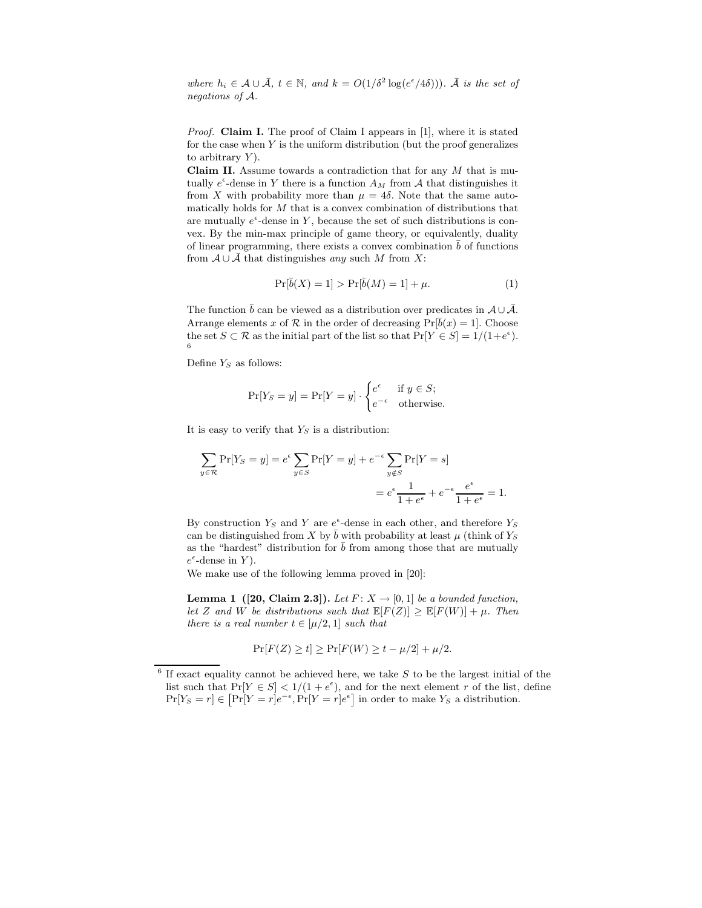where  $h_i \in \mathcal{A} \cup \overline{\mathcal{A}}$ ,  $t \in \mathbb{N}$ , and  $k = O(1/\delta^2 \log(e^{\epsilon}/4\delta)))$ .  $\overline{\mathcal{A}}$  is the set of negations of A.

Proof. Claim I. The proof of Claim I appears in [1], where it is stated for the case when  $Y$  is the uniform distribution (but the proof generalizes to arbitrary  $Y$ ).

Claim II. Assume towards a contradiction that for any  $M$  that is mutually  $e^{\epsilon}$ -dense in Y there is a function  $A_M$  from A that distinguishes it from X with probability more than  $\mu = 4\delta$ . Note that the same automatically holds for M that is a convex combination of distributions that are mutually  $e^{\epsilon}$ -dense in Y, because the set of such distributions is convex. By the min-max principle of game theory, or equivalently, duality of linear programming, there exists a convex combination  $\bar{b}$  of functions from  $A \cup A$  that distinguishes any such M from X:

$$
\Pr[\bar{b}(X) = 1] > \Pr[\bar{b}(M) = 1] + \mu. \tag{1}
$$

The function  $\bar{b}$  can be viewed as a distribution over predicates in  $\mathcal{A} \cup \bar{\mathcal{A}}$ . Arrange elements x of R in the order of decreasing  $Pr[\overline{b}(x) = 1]$ . Choose the set  $S \subset \mathcal{R}$  as the initial part of the list so that  $Pr[Y \in S] = 1/(1+e^{\epsilon})$ . 6

Define  $Y_s$  as follows:

$$
\Pr[Y_S = y] = \Pr[Y = y] \cdot \begin{cases} e^{\epsilon} & \text{if } y \in S; \\ e^{-\epsilon} & \text{otherwise.} \end{cases}
$$

It is easy to verify that  $Y_S$  is a distribution:

$$
\sum_{y \in \mathcal{R}} \Pr[Y_S = y] = e^{\epsilon} \sum_{y \in S} \Pr[Y = y] + e^{-\epsilon} \sum_{y \notin S} \Pr[Y = s]
$$

$$
= e^{\epsilon} \frac{1}{1 + e^{\epsilon}} + e^{-\epsilon} \frac{e^{\epsilon}}{1 + e^{\epsilon}} = 1.
$$

By construction  $Y_S$  and Y are  $e^{\epsilon}$ -dense in each other, and therefore  $Y_S$ can be distinguished from X by  $\bar{b}$  with probability at least  $\mu$  (think of  $Y_S$ as the "hardest" distribution for  $\bar{b}$  from among those that are mutually  $e^{\epsilon}$ -dense in Y).

We make use of the following lemma proved in [20]:

**Lemma 1** ([20, Claim 2.3]). Let  $F: X \rightarrow [0, 1]$  be a bounded function, let Z and W be distributions such that  $\mathbb{E}[F(Z)] \geq \mathbb{E}[F(W)] + \mu$ . Then there is a real number  $t \in [\mu/2, 1]$  such that

$$
\Pr[F(Z) \ge t] \ge \Pr[F(W) \ge t - \mu/2] + \mu/2.
$$

 $6$  If exact equality cannot be achieved here, we take  $S$  to be the largest initial of the list such that  $Pr[Y \in S] < 1/(1 + e^{\epsilon})$ , and for the next element r of the list, define  $Pr[Y_S = r] \in [Pr[Y = r]e^{-\epsilon}, Pr[Y = r]e^{\epsilon}]$  in order to make  $Y_S$  a distribution.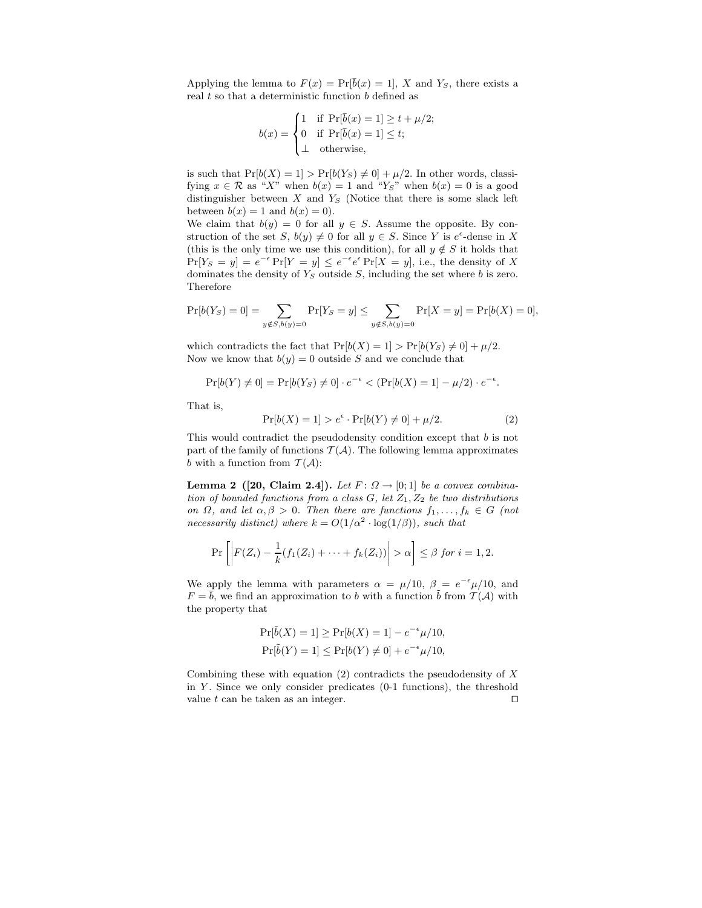Applying the lemma to  $F(x) = Pr[\overline{b}(x) = 1], X$  and  $Y_s$ , there exists a real  $t$  so that a deterministic function  $b$  defined as

$$
b(x) = \begin{cases} 1 & \text{if } \Pr[\bar{b}(x) = 1] \ge t + \mu/2; \\ 0 & \text{if } \Pr[\bar{b}(x) = 1] \le t; \\ \bot & \text{otherwise,} \end{cases}
$$

- -

is such that  $Pr[b(X) = 1] > Pr[b(Y<sub>S</sub>) \neq 0] + \mu/2$ . In other words, classifying  $x \in \mathcal{R}$  as "X" when  $b(x) = 1$  and "Y<sub>S</sub>" when  $b(x) = 0$  is a good distinguisher between  $X$  and  $Y<sub>S</sub>$  (Notice that there is some slack left between  $b(x) = 1$  and  $b(x) = 0$ .

We claim that  $b(y) = 0$  for all  $y \in S$ . Assume the opposite. By construction of the set  $S, b(y) \neq 0$  for all  $y \in S$ . Since Y is  $e^{\epsilon}$ -dense in X (this is the only time we use this condition), for all  $y \notin S$  it holds that  $Pr[Y_S = y] = e^{-\epsilon} Pr[Y = y] \le e^{-\epsilon} e^{\epsilon} Pr[X = y]$ , i.e., the density of X dominates the density of  $Y_s$  outside S, including the set where b is zero. Therefore

$$
\Pr[b(Y_S) = 0] = \sum_{y \notin S, b(y) = 0} \Pr[Y_S = y] \le \sum_{y \notin S, b(y) = 0} \Pr[X = y] = \Pr[b(X) = 0],
$$

which contradicts the fact that  $Pr[b(X) = 1] > Pr[b(Y<sub>S</sub>) \neq 0] + \mu/2$ . Now we know that  $b(y) = 0$  outside S and we conclude that

$$
\Pr[b(Y) \neq 0] = \Pr[b(Y_S) \neq 0] \cdot e^{-\epsilon} < (\Pr[b(X) = 1] - \mu/2) \cdot e^{-\epsilon}.
$$

That is,

$$
\Pr[b(X) = 1] > e^{\epsilon} \cdot \Pr[b(Y) \neq 0] + \mu/2. \tag{2}
$$

This would contradict the pseudodensity condition except that b is not part of the family of functions  $\mathcal{T}(\mathcal{A})$ . The following lemma approximates b with a function from  $\mathcal{T}(\mathcal{A})$ :

Lemma 2 ([20, Claim 2.4]). Let  $F: \Omega \rightarrow [0, 1]$  be a convex combination of bounded functions from a class  $G$ , let  $Z_1, Z_2$  be two distributions on  $\Omega$ , and let  $\alpha, \beta > 0$ . Then there are functions  $f_1, \ldots, f_k \in G$  (not necessarily distinct) where  $k = O(1/\alpha^2 \cdot \log(1/\beta))$ , such that

$$
\Pr\left[\left|F(Z_i) - \frac{1}{k}(f_1(Z_i) + \cdots + f_k(Z_i))\right| > \alpha\right] \leq \beta \text{ for } i = 1, 2.
$$

We apply the lemma with parameters  $\alpha = \mu/10$ ,  $\beta = e^{-\epsilon}\mu/10$ , and  $F = \bar{b}$ , we find an approximation to b with a function  $\bar{b}$  from  $\mathcal{T}(\mathcal{A})$  with the property that

$$
\Pr[\tilde{b}(X) = 1] \ge \Pr[b(X) = 1] - e^{-\epsilon}\mu/10,
$$
  

$$
\Pr[\tilde{b}(Y) = 1] \le \Pr[b(Y) \ne 0] + e^{-\epsilon}\mu/10,
$$

Combining these with equation  $(2)$  contradicts the pseudodensity of X in  $Y$ . Since we only consider predicates  $(0-1)$  functions), the threshold value t can be taken as an integer.  $□$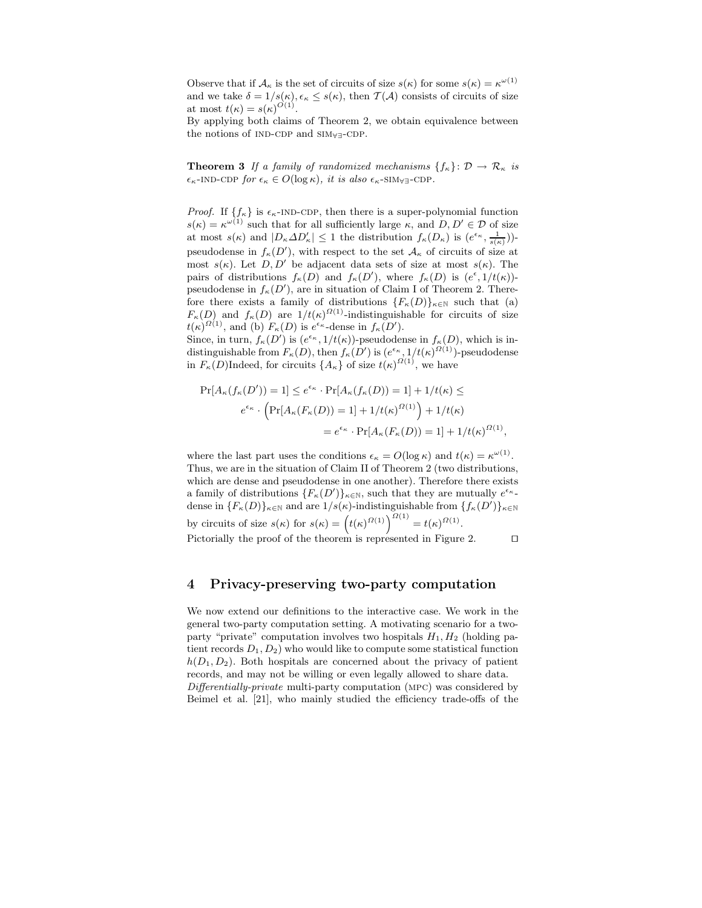Observe that if  $\mathcal{A}_{\kappa}$  is the set of circuits of size  $s(\kappa)$  for some  $s(\kappa) = \kappa^{\omega(1)}$ and we take  $\delta = 1/s(\kappa)$ ,  $\epsilon_{\kappa} \leq s(\kappa)$ , then  $\mathcal{T}(\mathcal{A})$  consists of circuits of size at most  $t(\kappa) = s(\kappa)^{O(1)}$ .

By applying both claims of Theorem 2, we obtain equivalence between the notions of IND-CDP and SIM<sub>∀∃</sub>-CDP.

**Theorem 3** If a family of randomized mechanisms  $\{f_{\kappa}\}\colon \mathcal{D} \to \mathcal{R}_{\kappa}$  is  $\epsilon_{\kappa}$ -IND-CDP for  $\epsilon_{\kappa} \in O(\log \kappa)$ , it is also  $\epsilon_{\kappa}$ -SIM<sub>V</sub><sub>3</sub>-CDP.

*Proof.* If  $\{f_{\kappa}\}\$ is  $\epsilon_{\kappa}$ -IND-CDP, then there is a super-polynomial function  $s(\kappa) = \kappa^{\omega(1)}$  such that for all sufficiently large  $\kappa$ , and  $D, D' \in \mathcal{D}$  of size at most  $s(\kappa)$  and  $|D_{\kappa}\Delta D_{\kappa}'| \leq 1$  the distribution  $f_{\kappa}(D_{\kappa})$  is  $(e^{\epsilon_{\kappa}}, \frac{1}{s(\kappa)}))$ pseudodense in  $f_{\kappa}(D')$ , with respect to the set  $\mathcal{A}_{\kappa}$  of circuits of size at most  $s(\kappa)$ . Let  $D, D'$  be adjacent data sets of size at most  $s(\kappa)$ . The pairs of distributions  $f_{\kappa}(D)$  and  $f_{\kappa}(D')$ , where  $f_{\kappa}(D)$  is  $(e^{\epsilon}, 1/t(\kappa))$ pseudodense in  $f_{\kappa}(D')$ , are in situation of Claim I of Theorem 2. Therefore there exists a family of distributions  ${F_{\kappa}(D)}_{\kappa \in N}$  such that (a)  $F_{\kappa}(D)$  and  $f_{\kappa}(D)$  are  $1/t(\kappa)^{2(1)}$ -indistinguishable for circuits of size  $t(\kappa)^{\Omega(1)}$ , and (b)  $F_{\kappa}(D)$  is  $e^{\epsilon_{\kappa}}$ -dense in  $f_{\kappa}(D')$ .

Since, in turn,  $f_{\kappa}(D')$  is  $(e^{\epsilon_{\kappa}}, 1/t(\kappa))$ -pseudodense in  $f_{\kappa}(D)$ , which is indistinguishable from  $F_{\kappa}(D)$ , then  $f_{\kappa}(D')$  is  $(e^{\epsilon_{\kappa}}, 1/t(\kappa)^{\Omega(1)})$ -pseudodense in  $F_{\kappa}(D)$ Indeed, for circuits  $\{A_{\kappa}\}\)$  of size  $t(\kappa)^{\Omega(1)}$ , we have

$$
\Pr[A_{\kappa}(f_{\kappa}(D')) = 1] \le e^{\epsilon_{\kappa}} \cdot \Pr[A_{\kappa}(f_{\kappa}(D)) = 1] + 1/t(\kappa) \le
$$
  

$$
e^{\epsilon_{\kappa}} \cdot \left(\Pr[A_{\kappa}(F_{\kappa}(D)) = 1] + 1/t(\kappa)^{\Omega(1)}\right) + 1/t(\kappa)
$$
  

$$
= e^{\epsilon_{\kappa}} \cdot \Pr[A_{\kappa}(F_{\kappa}(D)) = 1] + 1/t(\kappa)^{\Omega(1)},
$$

where the last part uses the conditions  $\epsilon_{\kappa} = O(\log \kappa)$  and  $t(\kappa) = \kappa^{\omega(1)}$ . Thus, we are in the situation of Claim II of Theorem 2 (two distributions, which are dense and pseudodense in one another). Therefore there exists a family of distributions  ${F_{\kappa}(D')}_{\kappa \in \mathbb{N}}$ , such that they are mutually  $e^{\epsilon_{\kappa}}$ . dense in  ${F_{\kappa}(D)}_{\kappa \in \mathbb{N}}$  and are  $1/s(\kappa)$ -indistinguishable from  ${f_{\kappa}(D')}_{\kappa \in \mathbb{N}}$ by circuits of size  $s(\kappa)$  for  $s(\kappa) = (t(\kappa)^{\Omega(1)})^{2(1)} = t(\kappa)^{\Omega(1)}$ . Pictorially the proof of the theorem is represented in Figure 2. □

### 4 Privacy-preserving two-party computation

We now extend our definitions to the interactive case. We work in the general two-party computation setting. A motivating scenario for a twoparty "private" computation involves two hospitals  $H_1, H_2$  (holding patient records  $D_1, D_2$ ) who would like to compute some statistical function  $h(D_1, D_2)$ . Both hospitals are concerned about the privacy of patient records, and may not be willing or even legally allowed to share data. Differentially-private multi-party computation (mpc) was considered by Beimel et al. [21], who mainly studied the efficiency trade-offs of the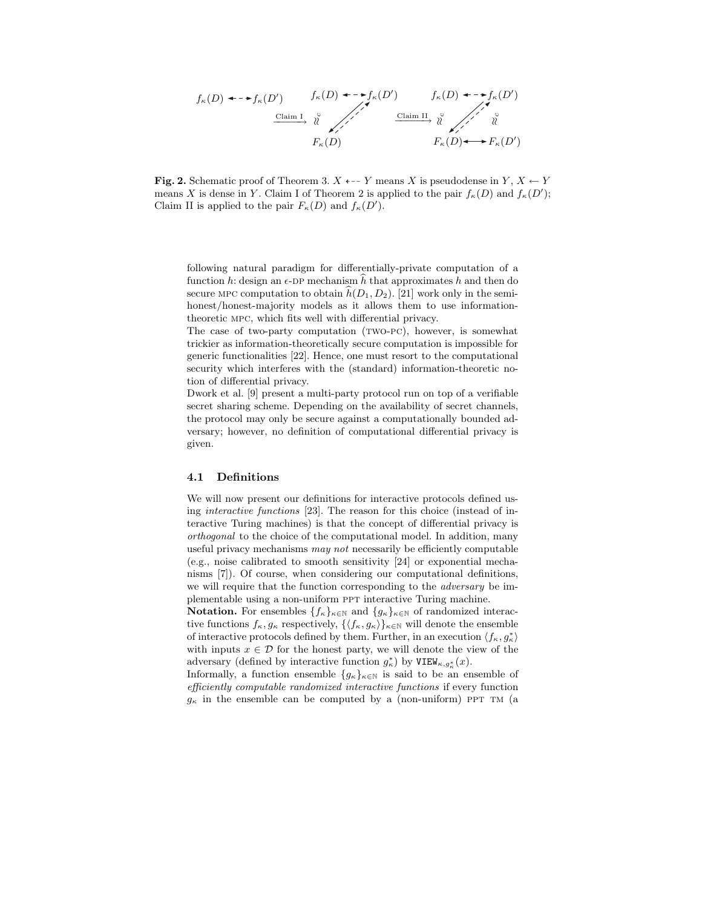$$
f_{\kappa}(D) \leftarrow \rightarrow f_{\kappa}(D') \qquad f_{\kappa}(D) \leftarrow \rightarrow f_{\kappa}(D') \qquad f_{\kappa}(D) \leftarrow \rightarrow f_{\kappa}(D')
$$
\n
$$
\xrightarrow{\text{Claim I}} \sqrt[n]{\qquad \qquad \text{Claim II}} \sqrt[n]{\qquad \qquad \text{Claim II}} \sqrt[n]{\qquad \qquad \qquad \text{if}
$$
\n
$$
F_{\kappa}(D) \qquad \qquad F_{\kappa}(D) \leftarrow \rightarrow F_{\kappa}(D')
$$

**Fig. 2.** Schematic proof of Theorem 3.  $X \leftarrow Y$  means X is pseudodense in  $Y, X \leftarrow Y$ means X is dense in Y. Claim I of Theorem 2 is applied to the pair  $f_{\kappa}(D)$  and  $f_{\kappa}(D')$ ; Claim II is applied to the pair  $F_{\kappa}(D)$  and  $f_{\kappa}(D')$ .

following natural paradigm for differentially-private computation of a function h: design an  $\epsilon$ -DP mechanism h that approximates h and then do secure MPC computation to obtain  $h(D_1, D_2)$ . [21] work only in the semihonest/honest-majority models as it allows them to use informationtheoretic mpc, which fits well with differential privacy.

The case of two-party computation (TWO-PC), however, is somewhat trickier as information-theoretically secure computation is impossible for generic functionalities [22]. Hence, one must resort to the computational security which interferes with the (standard) information-theoretic notion of differential privacy.

Dwork et al. [9] present a multi-party protocol run on top of a verifiable secret sharing scheme. Depending on the availability of secret channels, the protocol may only be secure against a computationally bounded adversary; however, no definition of computational differential privacy is given.

#### 4.1 Definitions

We will now present our definitions for interactive protocols defined using interactive functions [23]. The reason for this choice (instead of interactive Turing machines) is that the concept of differential privacy is orthogonal to the choice of the computational model. In addition, many useful privacy mechanisms may not necessarily be efficiently computable (e.g., noise calibrated to smooth sensitivity [24] or exponential mechanisms [7]). Of course, when considering our computational definitions, we will require that the function corresponding to the adversary be implementable using a non-uniform ppt interactive Turing machine.

**Notation.** For ensembles  $\{f_{\kappa}\}_{{\kappa}\in\mathbb{N}}$  and  $\{g_{\kappa}\}_{{\kappa}\in\mathbb{N}}$  of randomized interactive functions  $f_{\kappa}, g_{\kappa}$  respectively,  $\{\langle f_{\kappa}, g_{\kappa}\rangle\}_{\kappa\in\mathbb{N}}$  will denote the ensemble of interactive protocols defined by them. Further, in an execution  $\langle f_\kappa, g^*_\kappa \rangle$ with inputs  $x \in \mathcal{D}$  for the honest party, we will denote the view of the adversary (defined by interactive function  $g^*_{\kappa}$ ) by VIEW<sub> $\kappa, g^*_{\kappa}(x)$ </sub>.

Informally, a function ensemble  ${g_{\kappa}}_{\kappa\in\mathbb{N}}$  is said to be an ensemble of efficiently computable randomized interactive functions if every function  $g_{\kappa}$  in the ensemble can be computed by a (non-uniform) PPT TM (a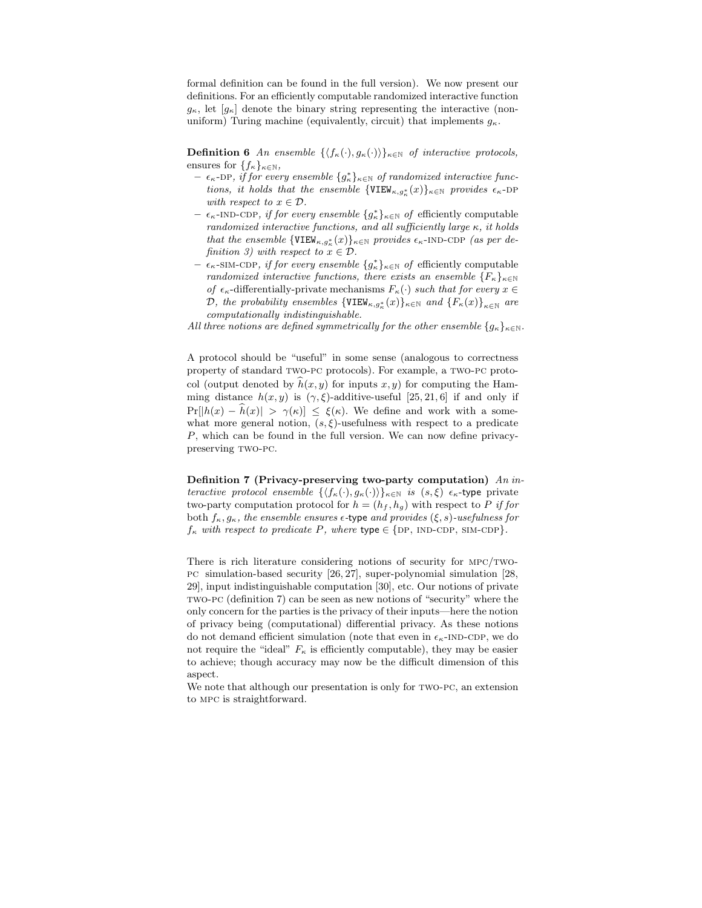formal definition can be found in the full version). We now present our definitions. For an efficiently computable randomized interactive function  $g_{\kappa}$ , let  $[g_{\kappa}]$  denote the binary string representing the interactive (nonuniform) Turing machine (equivalently, circuit) that implements  $q_{\kappa}$ .

**Definition 6** An ensemble  $\{\langle f_{\kappa}(\cdot), g_{\kappa}(\cdot)\rangle\}_{\kappa\in\mathbb{N}}$  of interactive protocols, ensures for  $\{f_{\kappa}\}_{{\kappa}\in\mathbb{N}},$ 

- $\epsilon_{\kappa}$ -DP, if for every ensemble  $\{g_{\kappa}^*\}_{\kappa \in \mathbb{N}}$  of randomized interactive functions, it holds that the ensemble  $\{VIEW_{\kappa, g^*_{\kappa}}(x)\}_{\kappa \in \mathbb{N}}$  provides  $\epsilon_{\kappa}$ -DP with respect to  $x \in \mathcal{D}$ .
- $\epsilon_{\kappa}$ -IND-CDP, if for every ensemble  $\{g^*_{\kappa}\}_{{\kappa} \in {\mathbb N}}$  of efficiently computable randomized interactive functions, and all sufficiently large  $\kappa$ , it holds that the ensemble  $\{VIEW_{\kappa,g^*_{\kappa}}(x)\}_{\kappa \in \mathbb{N}}$  provides  $\epsilon_{\kappa}$ -IND-CDP (as per definition 3) with respect to  $x \in \mathcal{D}$ .
- $-$  ε<sub>κ</sub>-sim-cdp, *if for every ensemble*  ${g^*_{\kappa}}$ <sub>κ∈N</sub> *of* efficiently computable randomized interactive functions, there exists an ensemble  $\{F_{\kappa}\}_{{\kappa}\in\mathbb{N}}$ of  $\epsilon_{\kappa}$ -differentially-private mechanisms  $F_{\kappa}(\cdot)$  such that for every  $x \in$ D, the probability ensembles  $\{VIEW_{\kappa,g^*_{\kappa}}(x)\}_{\kappa \in \mathbb{N}}$  and  $\{F_{\kappa}(x)\}_{\kappa \in \mathbb{N}}$  are computationally indistinguishable.

All three notions are defined symmetrically for the other ensemble  $\{g_{\kappa}\}_{{\kappa}\in\mathbb{N}}$ .

A protocol should be "useful" in some sense (analogous to correctness property of standard two-pc protocols). For example, a two-pc protocol (output denoted by  $\hat{h}(x, y)$  for inputs  $x, y$ ) for computing the Hamming distance  $h(x, y)$  is  $(\gamma, \xi)$ -additive-useful [25, 21, 6] if and only if  $Pr[|h(x) - \hat{h}(x)|] > \gamma(\kappa) \leq \xi(\kappa)$ . We define and work with a somewhat more general notion,  $(s, \xi)$ -usefulness with respect to a predicate P, which can be found in the full version. We can now define privacypreserving TWO-PC.

Definition 7 (Privacy-preserving two-party computation) An interactive protocol ensemble  $\{\langle f_{\kappa}(\cdot), g_{\kappa}(\cdot)\rangle\}_{\kappa\in\mathbb{N}}$  is  $(s,\xi)$   $\epsilon_{\kappa}$ -type private two-party computation protocol for  $h = (h_f, h_g)$  with respect to P if for both  $f_{\kappa}, g_{\kappa}$ , the ensemble ensures  $\epsilon$ -type and provides  $(\xi, s)$ -usefulness for  $f_{\kappa}$  with respect to predicate P, where type  $\in$  {DP, IND-CDP, SIM-CDP}.

There is rich literature considering notions of security for  $MPC/TWO$ pc simulation-based security [26, 27], super-polynomial simulation [28, 29], input indistinguishable computation [30], etc. Our notions of private two-pc (definition 7) can be seen as new notions of "security" where the only concern for the parties is the privacy of their inputs—here the notion of privacy being (computational) differential privacy. As these notions do not demand efficient simulation (note that even in  $\epsilon_{\kappa}$ -IND-CDP, we do not require the "ideal"  $F_{\kappa}$  is efficiently computable), they may be easier to achieve; though accuracy may now be the difficult dimension of this aspect.

We note that although our presentation is only for  $TWO-PC$ , an extension to mpc is straightforward.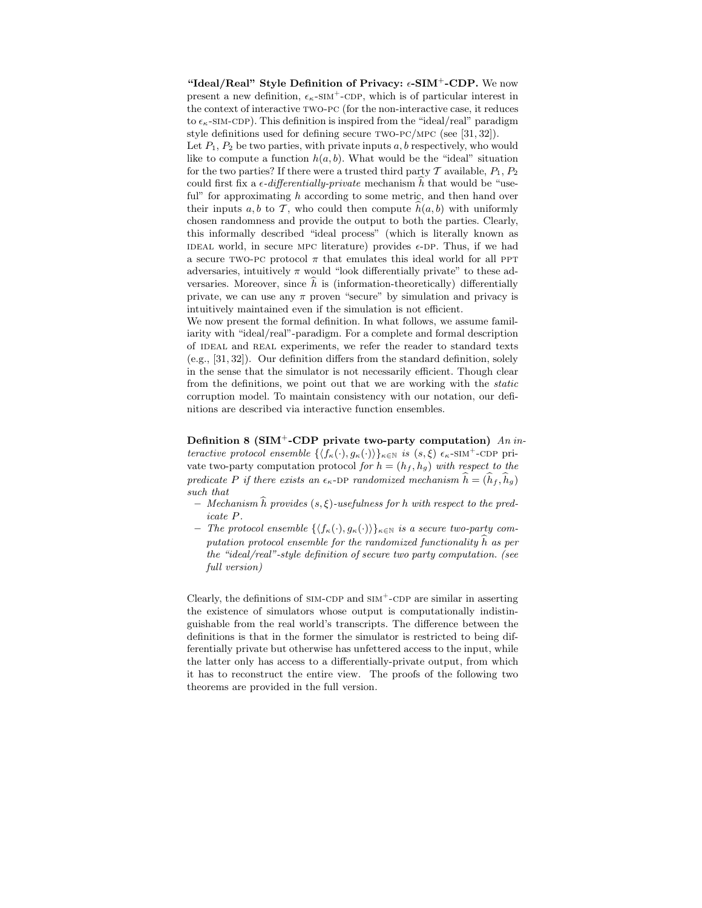"Ideal/Real" Style Definition of Privacy:  $\epsilon$ -SIM<sup>+</sup>-CDP. We now present a new definition,  $\epsilon_{\kappa}$ -SIM<sup>+</sup>-CDP, which is of particular interest in the context of interactive two-pc (for the non-interactive case, it reduces to  $\epsilon_{\kappa}$ -sim-cdp). This definition is inspired from the "ideal/real" paradigm style definitions used for defining secure two-pc/mpc (see [31, 32]).

Let  $P_1, P_2$  be two parties, with private inputs  $a, b$  respectively, who would like to compute a function  $h(a, b)$ . What would be the "ideal" situation for the two parties? If there were a trusted third party  $\mathcal T$  available,  $P_1, P_2$ could first fix a  $\epsilon$ -differentially-private mechanism h that would be "useful" for approximating  $h$  according to some metric, and then hand over their inputs a, b to T, who could then compute  $\hat{h}(a, b)$  with uniformly chosen randomness and provide the output to both the parties. Clearly, this informally described "ideal process" (which is literally known as IDEAL world, in secure MPC literature) provides  $\epsilon$ -DP. Thus, if we had a secure TWO-PC protocol  $\pi$  that emulates this ideal world for all PPT adversaries, intuitively  $\pi$  would "look differentially private" to these adversaries. Moreover, since  $h$  is (information-theoretically) differentially private, we can use any  $\pi$  proven "secure" by simulation and privacy is intuitively maintained even if the simulation is not efficient.

We now present the formal definition. In what follows, we assume familiarity with "ideal/real"-paradigm. For a complete and formal description of IDEAL and REAL experiments, we refer the reader to standard texts (e.g., [31, 32]). Our definition differs from the standard definition, solely in the sense that the simulator is not necessarily efficient. Though clear from the definitions, we point out that we are working with the static corruption model. To maintain consistency with our notation, our definitions are described via interactive function ensembles.

Definition 8 (SIM<sup>+</sup>-CDP private two-party computation)  $An\,in$ teractive protocol ensemble  $\{\langle f_{\kappa}(\cdot), g_{\kappa}(\cdot)\rangle\}_{\kappa\in\mathbb{N}}$  is  $(s,\xi)$   $\epsilon_{\kappa}$ -SIM<sup>+</sup>-CDP private two-party computation protocol for  $h = (h_f, h_g)$  with respect to the predicate P if there exists an  $\epsilon_{\kappa}$ -DP randomized mechanism  $\hat{h} = (\hat{h}_f, \hat{h}_g)$ such that

- $-$  Mechanism  $\widehat{h}$  provides  $(s, \xi)$ -usefulness for h with respect to the predicate P.
- The protocol ensemble  $\{\langle f_{\kappa}(\cdot), g_{\kappa}(\cdot)\rangle\}_{\kappa\in\mathbb{N}}$  is a secure two-party computation protocol ensemble for the randomized functionality  $\hat{h}$  as per the "ideal/real"-style definition of secure two party computation. (see full version)

Clearly, the definitions of  $SIM-CDP$  and  $SIM<sup>+</sup>-CDP$  are similar in asserting the existence of simulators whose output is computationally indistinguishable from the real world's transcripts. The difference between the definitions is that in the former the simulator is restricted to being differentially private but otherwise has unfettered access to the input, while the latter only has access to a differentially-private output, from which it has to reconstruct the entire view. The proofs of the following two theorems are provided in the full version.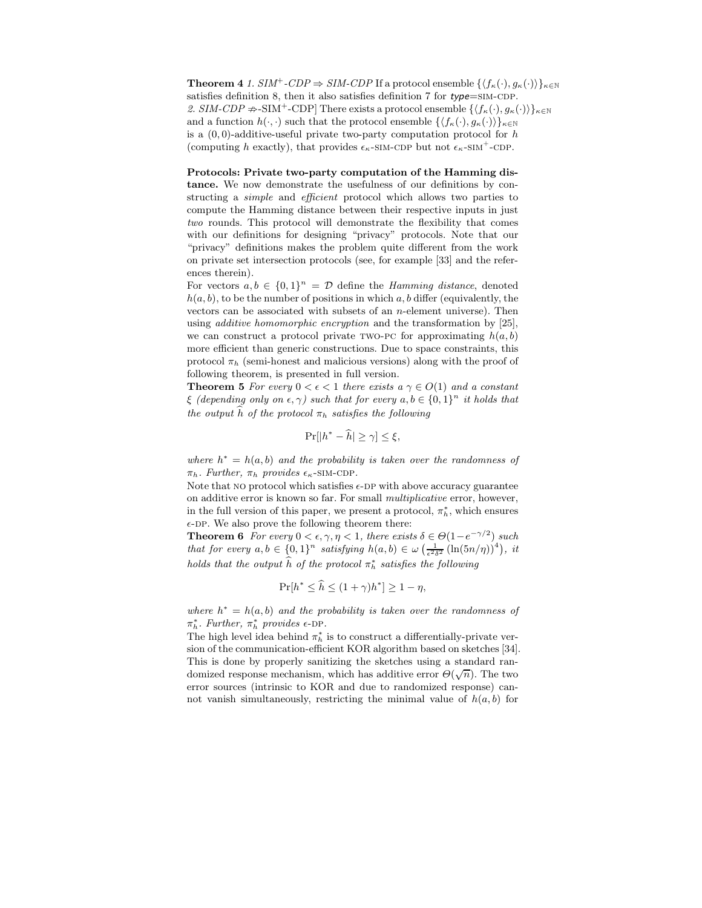**Theorem 4** 1.  $SIM^+$ -CDP  $\Rightarrow$  SIM-CDP If a protocol ensemble  $\{\langle f_{\kappa}(\cdot), g_{\kappa}(\cdot)\rangle\}_{\kappa\in\mathbb{N}}$ satisfies definition 8, then it also satisfies definition 7 for  $type=\text{SIM-CDP}$ . 2. SIM-CDP  $\#$ -SIM<sup>+</sup>-CDP] There exists a protocol ensemble  $\{\langle f_{\kappa}(\cdot), g_{\kappa}(\cdot)\rangle\}_{\kappa\in\mathbb{N}}$ and a function  $h(\cdot, \cdot)$  such that the protocol ensemble  $\{\langle f_{\kappa}(\cdot), g_{\kappa}(\cdot)\rangle\}_{\kappa\in\mathbb{N}}$ is a  $(0, 0)$ -additive-useful private two-party computation protocol for h (computing h exactly), that provides  $\epsilon_{\kappa}$ -SIM-CDP but not  $\epsilon_{\kappa}$ -SIM<sup>+</sup>-CDP.

Protocols: Private two-party computation of the Hamming distance. We now demonstrate the usefulness of our definitions by constructing a *simple* and *efficient* protocol which allows two parties to compute the Hamming distance between their respective inputs in just two rounds. This protocol will demonstrate the flexibility that comes with our definitions for designing "privacy" protocols. Note that our "privacy" definitions makes the problem quite different from the work on private set intersection protocols (see, for example [33] and the references therein).

For vectors  $a, b \in \{0, 1\}^n = \mathcal{D}$  define the *Hamming distance*, denoted  $h(a, b)$ , to be the number of positions in which a, b differ (equivalently, the vectors can be associated with subsets of an  $n$ -element universe). Then using additive homomorphic encryption and the transformation by [25], we can construct a protocol private TWO-PC for approximating  $h(a, b)$ more efficient than generic constructions. Due to space constraints, this protocol  $\pi_h$  (semi-honest and malicious versions) along with the proof of following theorem, is presented in full version.

**Theorem 5** For every  $0 < \epsilon < 1$  there exists  $a \gamma \in O(1)$  and a constant  $\xi$  (depending only on  $\epsilon, \gamma$ ) such that for every  $a, b \in \{0, 1\}^n$  it holds that the output  $\widehat{h}$  of the protocol  $\pi_h$  satisfies the following

$$
\Pr[|h^* - \widehat{h}| \ge \gamma] \le \xi,
$$

where  $h^* = h(a, b)$  and the probability is taken over the randomness of  $\pi_h$ . Further,  $\pi_h$  provides  $\epsilon_{\kappa}$ -SIM-CDP.

Note that NO protocol which satisfies  $\epsilon$ -DP with above accuracy guarantee on additive error is known so far. For small multiplicative error, however, in the full version of this paper, we present a protocol,  $\pi_h^*$ , which ensures  $\epsilon$ -DP. We also prove the following theorem there:

**Theorem 6** For every  $0 < \epsilon, \gamma, \eta < 1$ , there exists  $\delta \in \Theta(1 - e^{-\gamma/2})$  such that for every  $a, b \in \{0, 1\}^n$  satisfying  $h(a, b) \in \omega \left(\frac{1}{\epsilon^2 \delta^2} \left(\ln(5n/\eta)\right)^4\right)$ , it holds that the output  $\widehat{h}$  of the protocol  $\pi_h^*$  satisfies the following

$$
\Pr[h^* \le \hat{h} \le (1+\gamma)h^*] \ge 1-\eta,
$$

where  $h^* = h(a, b)$  and the probability is taken over the randomness of  $\pi_h^*$ . Further,  $\pi_h^*$  provides  $\epsilon$ -DP.

The high level idea behind  $\pi^*_h$  is to construct a differentially-private version of the communication-efficient KOR algorithm based on sketches [34]. This is done by properly sanitizing the sketches using a standard randomized response mechanism, which has additive error  $\Theta(\sqrt{n})$ . The two error sources (intrinsic to KOR and due to randomized response) cannot vanish simultaneously, restricting the minimal value of  $h(a, b)$  for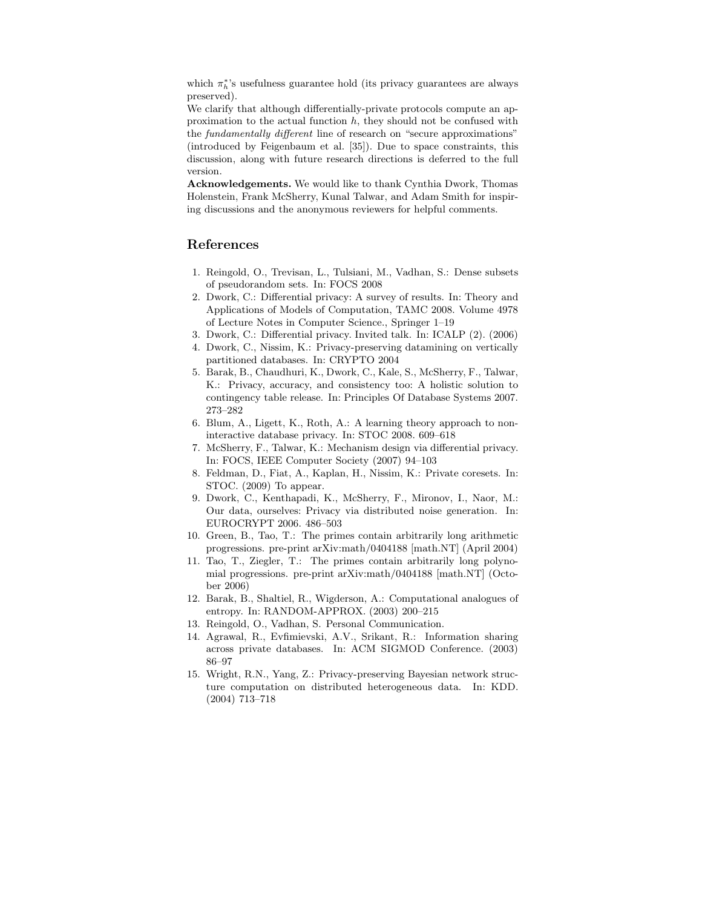which  $\pi_h^*$ 's usefulness guarantee hold (its privacy guarantees are always preserved).

We clarify that although differentially-private protocols compute an approximation to the actual function  $h$ , they should not be confused with the fundamentally different line of research on "secure approximations" (introduced by Feigenbaum et al. [35]). Due to space constraints, this discussion, along with future research directions is deferred to the full version.

Acknowledgements. We would like to thank Cynthia Dwork, Thomas Holenstein, Frank McSherry, Kunal Talwar, and Adam Smith for inspiring discussions and the anonymous reviewers for helpful comments.

# References

- 1. Reingold, O., Trevisan, L., Tulsiani, M., Vadhan, S.: Dense subsets of pseudorandom sets. In: FOCS 2008
- 2. Dwork, C.: Differential privacy: A survey of results. In: Theory and Applications of Models of Computation, TAMC 2008. Volume 4978 of Lecture Notes in Computer Science., Springer 1–19
- 3. Dwork, C.: Differential privacy. Invited talk. In: ICALP (2). (2006)
- 4. Dwork, C., Nissim, K.: Privacy-preserving datamining on vertically partitioned databases. In: CRYPTO 2004
- 5. Barak, B., Chaudhuri, K., Dwork, C., Kale, S., McSherry, F., Talwar, K.: Privacy, accuracy, and consistency too: A holistic solution to contingency table release. In: Principles Of Database Systems 2007. 273–282
- 6. Blum, A., Ligett, K., Roth, A.: A learning theory approach to noninteractive database privacy. In: STOC 2008. 609–618
- 7. McSherry, F., Talwar, K.: Mechanism design via differential privacy. In: FOCS, IEEE Computer Society (2007) 94–103
- 8. Feldman, D., Fiat, A., Kaplan, H., Nissim, K.: Private coresets. In: STOC. (2009) To appear.
- 9. Dwork, C., Kenthapadi, K., McSherry, F., Mironov, I., Naor, M.: Our data, ourselves: Privacy via distributed noise generation. In: EUROCRYPT 2006. 486–503
- 10. Green, B., Tao, T.: The primes contain arbitrarily long arithmetic progressions. pre-print arXiv:math/0404188 [math.NT] (April 2004)
- 11. Tao, T., Ziegler, T.: The primes contain arbitrarily long polynomial progressions. pre-print arXiv:math/0404188 [math.NT] (October 2006)
- 12. Barak, B., Shaltiel, R., Wigderson, A.: Computational analogues of entropy. In: RANDOM-APPROX. (2003) 200–215
- 13. Reingold, O., Vadhan, S. Personal Communication.
- 14. Agrawal, R., Evfimievski, A.V., Srikant, R.: Information sharing across private databases. In: ACM SIGMOD Conference. (2003) 86–97
- 15. Wright, R.N., Yang, Z.: Privacy-preserving Bayesian network structure computation on distributed heterogeneous data. In: KDD. (2004) 713–718